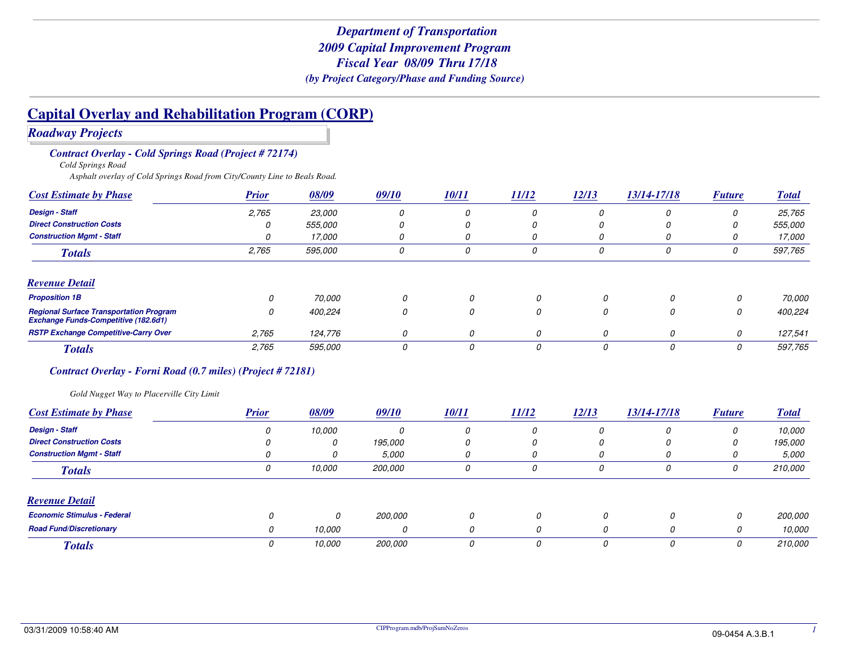*Roadway Projects*

*Contract Overlay - Cold Springs Road (Project # 72174)*

*Cold Springs Road*

*Asphalt overlay of Cold Springs Road from City/County Line to Beals Road.*

| <b>Cost Estimate by Phase</b>                                                                 | <b>Prior</b> | 08/09          | 09/10 | 10/11 | <i>11/12</i> | 12/13 | 13/14-17/18 | <b>Future</b> | <b>Total</b> |
|-----------------------------------------------------------------------------------------------|--------------|----------------|-------|-------|--------------|-------|-------------|---------------|--------------|
| <b>Design - Staff</b>                                                                         | 2,765        | 23,000         | 0     |       | 0            | 0     |             | 0             | 25,765       |
| <b>Direct Construction Costs</b>                                                              | Ω            | <i>555.000</i> | 0     |       |              |       |             | 0             | 555,000      |
| <b>Construction Mamt - Staff</b>                                                              | 0            | 17,000         | 0     | 0     | U            | 0     | U           | U             | 17,000       |
| <b>Totals</b>                                                                                 | 2,765        | 595,000        | 0     | 0     | 0            | 0     | 0           | 0             | 597,765      |
| <b>Revenue Detail</b>                                                                         |              |                |       |       |              |       |             |               |              |
| <b>Proposition 1B</b>                                                                         | 0            | 70,000         | 0     | 0     | 0            | 0     | 0           | 0             | 70,000       |
| <b>Regional Surface Transportation Program</b><br><b>Exchange Funds-Competitive (182.6d1)</b> | 0            | 400,224        | 0     | 0     | 0            | 0     | 0           | 0             | 400,224      |
| <b>RSTP Exchange Competitive-Carry Over</b>                                                   | 2,765        | 124,776        | 0     | 0     | 0            | 0     | 0           | 0             | 127,541      |
| <b>Totals</b>                                                                                 | 2,765        | 595,000        | 0     | 0     |              | 0     | 0           | 0             | 597,765      |

#### *Contract Overlay - Forni Road (0.7 miles) (Project # 72181)*

*Gold Nugget Way to Placerville City Limit*

| <b>Cost Estimate by Phase</b>      | <b>Prior</b> | 08/09    | 09/10          | <u>10/11</u> | <i>11/12</i> | 12/13 | 13/14-17/18 | <b>Future</b> | <b>Total</b>   |
|------------------------------------|--------------|----------|----------------|--------------|--------------|-------|-------------|---------------|----------------|
| <b>Design - Staff</b>              |              | 10.000   |                |              | 0            | 11    | Ω           | 0             | 10,000         |
| <b>Direct Construction Costs</b>   |              | 0        | 195,000        |              | 0            | υ     |             | 0             | 195,000        |
| <b>Construction Mgmt - Staff</b>   |              | 0        | 5,000          |              | 0            | υ     |             |               | 5.000          |
| <b>Totals</b>                      |              | 10,000   | <i>200.000</i> | 0            | 0            | 0     | 0           | 0             | 210,000        |
| <b>Revenue Detail</b>              |              |          |                |              |              |       |             |               |                |
| <b>Economic Stimulus - Federal</b> |              | $\Omega$ | <i>200.000</i> | 0            | $\Omega$     |       | O           | 0             | <i>200,000</i> |
| <b>Road Fund/Discretionary</b>     | 0            | 10.000   | 0              | 0            | 0            |       | 0           | 0             | 10,000         |
| <b>Totals</b>                      |              | 10,000   | <i>200.000</i> | 0            | 0            |       |             | 0             | 210,000        |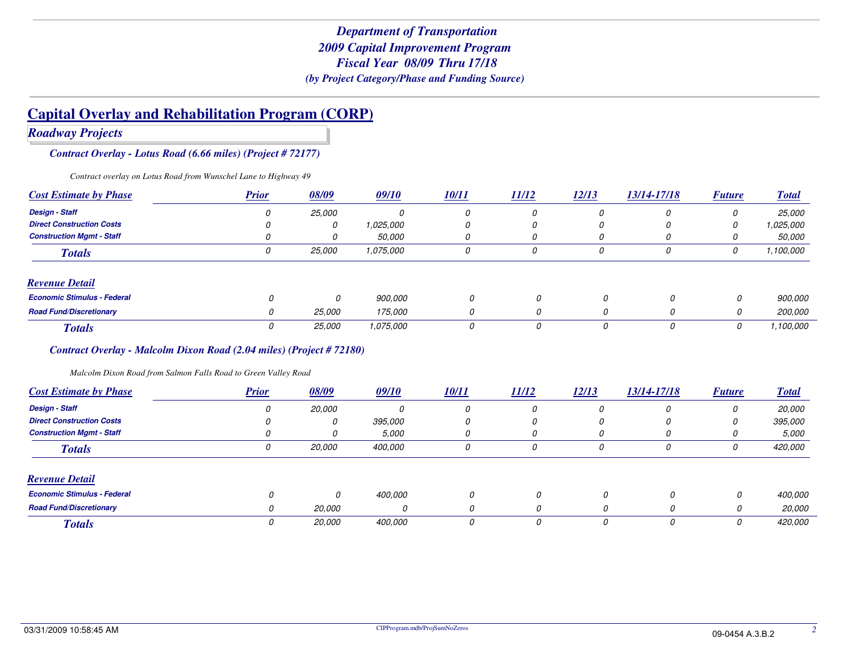*Roadway Projects*

*Contract Overlay - Lotus Road (6.66 miles) (Project # 72177)*

*Contract overlay on Lotus Road from Wunschel Lane to Highway 49*

| <b>Cost Estimate by Phase</b>      | <b>Prior</b> | 08/09  | 09/10         | <u>10/11</u> | 11/12 | 12/13 | 13/14-17/18 | <b>Future</b> | <b>Total</b>   |
|------------------------------------|--------------|--------|---------------|--------------|-------|-------|-------------|---------------|----------------|
| <b>Design - Staff</b>              |              | 25,000 |               | 0            | 0     | 0     | O           |               | <i>25.000</i>  |
| <b>Direct Construction Costs</b>   |              | 0      | 1.025.000     | 0            | 0     | 0     |             | 0             | 1,025,000      |
| <b>Construction Mgmt - Staff</b>   |              | U      | <i>50.000</i> | 0            | 0     | 0     |             |               | <i>50.000</i>  |
| <b>Totals</b>                      |              | 25,000 | 1,075,000     | 0            | 0     | 0     | 0           | 0             | 1,100,000      |
| <b>Revenue Detail</b>              |              |        |               |              |       |       |             |               |                |
| <b>Economic Stimulus - Federal</b> |              |        | 900,000       | 0            | 0     | 0     | 0           | 0             | 900,000        |
| <b>Road Fund/Discretionary</b>     | O            | 25,000 | 175,000       | 0            | 0     | 0     | 0           | 0             | <i>200.000</i> |
| <b>Totals</b>                      |              | 25,000 | 1,075,000     | υ            | 0     |       | 0           | 0             | 1,100,000      |

#### *Contract Overlay - Malcolm Dixon Road (2.04 miles) (Project # 72180)*

*Malcolm Dixon Road from Salmon Falls Road to Green Valley Road*

| <b>Cost Estimate by Phase</b>      | <b>Prior</b> | 08/09         | 09/10          | 10/11 | 11/12 | 12/13 | 13/14-17/18 | <b>Future</b> | <b>Total</b>  |
|------------------------------------|--------------|---------------|----------------|-------|-------|-------|-------------|---------------|---------------|
| <b>Design - Staff</b>              | 0            | <i>20,000</i> | O              | 0     | 0     | 0     | 0           | 0             | <i>20.000</i> |
| <b>Direct Construction Costs</b>   |              | 0             | <i>395.000</i> | 0     | 0     | 0     | O           | 0             | 395,000       |
| <b>Construction Mgmt - Staff</b>   |              | 0             | 5,000          | 0     |       | U     |             |               | 5,000         |
| <b>Totals</b>                      | 0            | <i>20,000</i> | 400,000        | 0     |       | 0     | 0           | 0             | 420,000       |
| <b>Revenue Detail</b>              |              |               |                |       |       |       |             |               |               |
| <b>Economic Stimulus - Federal</b> |              | 0             | 400,000        | 0     | 0     |       | 0           | 0             | 400.000       |
| <b>Road Fund/Discretionary</b>     | 0            | <i>20.000</i> | <sup>0</sup>   | 0     | 0     |       | 0           | 0             | <i>20.000</i> |
| <b>Totals</b>                      |              | 20,000        | 400,000        | 0     | 0     |       | 0           | 0             | 420,000       |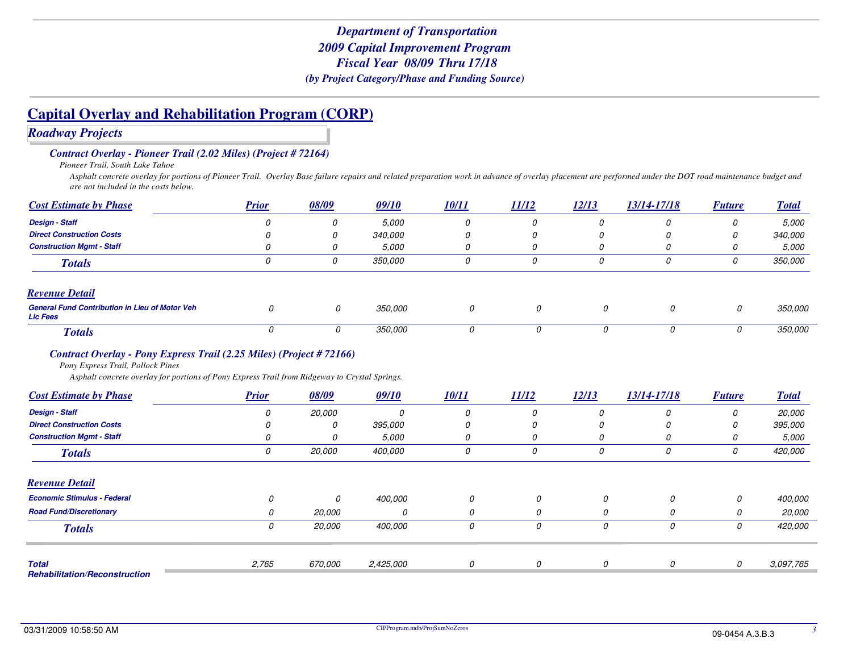*Roadway Projects*

*Contract Overlay - Pioneer Trail (2.02 Miles) (Project # 72164)*

*Pioneer Trail, South Lake Tahoe*

 *Asphalt concrete overlay for portions of Pioneer Trail. Overlay Base failure repairs and related preparation work in advance of overlay placement are performed under the DOT road maintenance budget and are not included in the costs below.*

| <b>Cost Estimate by Phase</b>                                            | <b>Prior</b> | 08/09 | 09/10          | <u>10/11</u> | 11/12 | 12/13 | 13/14-17/18 | <b>Future</b> | <b>Total</b>   |
|--------------------------------------------------------------------------|--------------|-------|----------------|--------------|-------|-------|-------------|---------------|----------------|
| <b>Design - Staff</b>                                                    |              | U     | 5.000          | 0            | 0     | 0     |             |               | <i>5.000</i>   |
| <b>Direct Construction Costs</b>                                         |              |       | <i>340.000</i> |              | U     | 0     |             |               | 340,000        |
| <b>Construction Mgmt - Staff</b>                                         |              |       | 5,000          | 0            | U     | U     |             |               | <i>5.000</i>   |
| <b>Totals</b>                                                            |              | υ     | <i>350,000</i> | 0            | 0     | 0     | 0           | U             | <i>350,000</i> |
| <b>Revenue Detail</b>                                                    |              |       |                |              |       |       |             |               |                |
| <b>General Fund Contribution in Lieu of Motor Veh</b><br><b>Lic Fees</b> |              |       | <i>350,000</i> | 0            | 0     |       | 0           | 0             | <i>350.000</i> |
| <b>Totals</b>                                                            |              |       | <i>350,000</i> |              | 0     |       |             | 0             | <i>350.000</i> |

#### *Contract Overlay - Pony Express Trail (2.25 Miles) (Project # 72166)*

*Pony Express Trail, Pollock Pines*

*Asphalt concrete overlay for portions of Pony Express Trail from Ridgeway to Crystal Springs.*

| <b>Cost Estimate by Phase</b>                        | <b>Prior</b> | 08/09         | 09/10     | 10/11 | 11/12 | 12/13 | 13/14-17/18 | <b>Future</b> | <b>Total</b>  |
|------------------------------------------------------|--------------|---------------|-----------|-------|-------|-------|-------------|---------------|---------------|
| <b>Design - Staff</b>                                | 0            | <i>20.000</i> | 0         | 0     | 0     | 0     | 0           | 0             | <i>20.000</i> |
| <b>Direct Construction Costs</b>                     |              | 0             | 395,000   | 0     | 0     | 0     | 0           | $\Omega$      | 395,000       |
| <b>Construction Mgmt - Staff</b>                     |              | 0             | 5.000     | 0     | 0     | 0     | 0           | U             | 5,000         |
| <b>Totals</b>                                        | 0            | 20,000        | 400,000   | 0     | 0     | 0     | 0           | 0             | 420,000       |
| <b>Revenue Detail</b>                                |              |               |           |       |       |       |             |               |               |
| <b>Economic Stimulus - Federal</b>                   | 0            | 0             | 400.000   | 0     | 0     | 0     | 0           | 0             | 400.000       |
| <b>Road Fund/Discretionary</b>                       | 0            | 20,000        |           | 0     | 0     | 0     | 0           | 0             | <i>20.000</i> |
| <b>Totals</b>                                        | 0            | 20,000        | 400,000   | 0     | 0     | 0     | 0           | 0             | 420,000       |
|                                                      |              |               |           |       |       |       |             |               |               |
| <b>Total</b><br><b>Rehabilitation/Reconstruction</b> | 2,765        | 670,000       | 2,425,000 | 0     | 0     | 0     | 0           | 0             | 3,097,765     |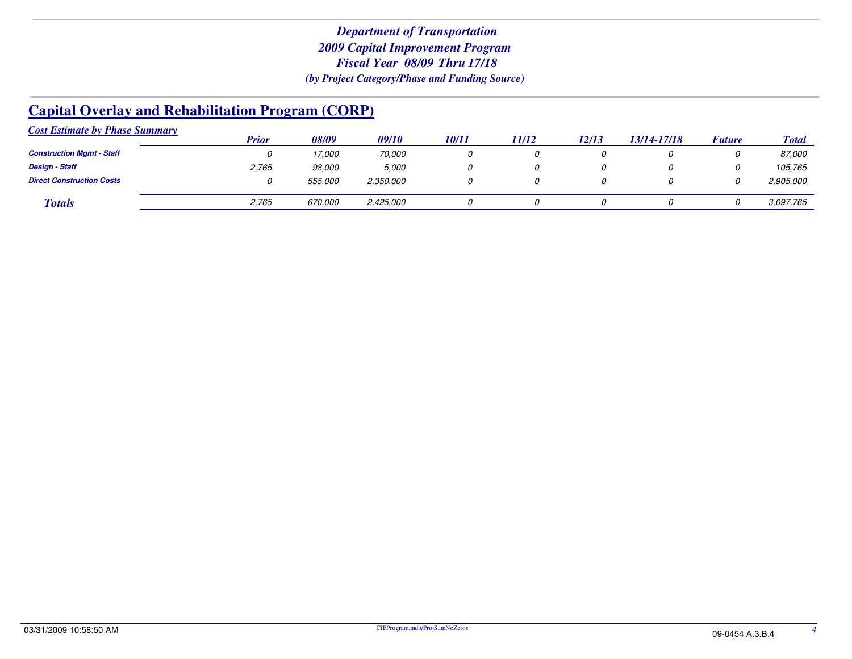| <b>Cost Estimate by Phase Summary</b> |       |                |           |              |       |       |             |               |              |
|---------------------------------------|-------|----------------|-----------|--------------|-------|-------|-------------|---------------|--------------|
|                                       | Prior | 08/09          | 09/10     | <i>10/11</i> | 11/12 | 12/13 | 13/14-17/18 | <b>Future</b> | <b>Total</b> |
| <b>Construction Mgmt - Staff</b>      |       | 17,000         | 70,000    |              |       |       |             |               | 87,000       |
| <b>Design - Staff</b>                 | 2,765 | 98,000         | 5,000     |              |       |       |             |               | 105,765      |
| <b>Direct Construction Costs</b>      |       | <i>555.000</i> | 2,350,000 |              |       |       |             |               | 2,905,000    |
| <b>Totals</b>                         | 2,765 | 670,000        | 2,425,000 |              |       |       |             |               | 3,097,765    |